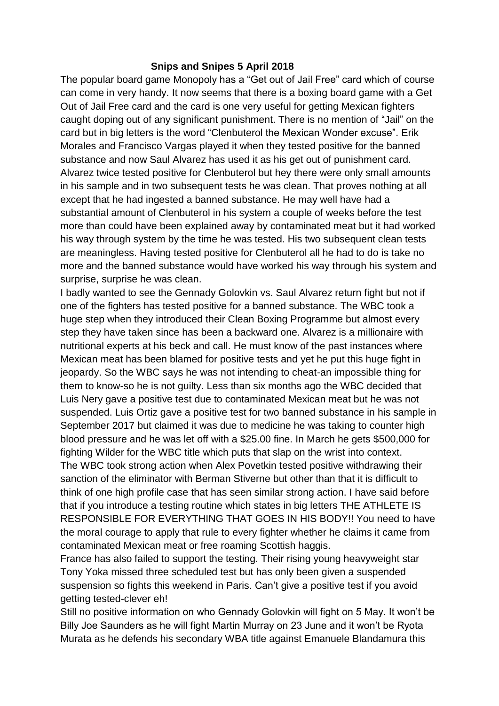## **Snips and Snipes 5 April 2018**

The popular board game Monopoly has a "Get out of Jail Free" card which of course can come in very handy. It now seems that there is a boxing board game with a Get Out of Jail Free card and the card is one very useful for getting Mexican fighters caught doping out of any significant punishment. There is no mention of "Jail" on the card but in big letters is the word "Clenbuterol the Mexican Wonder excuse". Erik Morales and Francisco Vargas played it when they tested positive for the banned substance and now Saul Alvarez has used it as his get out of punishment card. Alvarez twice tested positive for Clenbuterol but hey there were only small amounts in his sample and in two subsequent tests he was clean. That proves nothing at all except that he had ingested a banned substance. He may well have had a substantial amount of Clenbuterol in his system a couple of weeks before the test more than could have been explained away by contaminated meat but it had worked his way through system by the time he was tested. His two subsequent clean tests are meaningless. Having tested positive for Clenbuterol all he had to do is take no more and the banned substance would have worked his way through his system and surprise, surprise he was clean.

I badly wanted to see the Gennady Golovkin vs. Saul Alvarez return fight but not if one of the fighters has tested positive for a banned substance. The WBC took a huge step when they introduced their Clean Boxing Programme but almost every step they have taken since has been a backward one. Alvarez is a millionaire with nutritional experts at his beck and call. He must know of the past instances where Mexican meat has been blamed for positive tests and yet he put this huge fight in jeopardy. So the WBC says he was not intending to cheat-an impossible thing for them to know-so he is not guilty. Less than six months ago the WBC decided that Luis Nery gave a positive test due to contaminated Mexican meat but he was not suspended. Luis Ortiz gave a positive test for two banned substance in his sample in September 2017 but claimed it was due to medicine he was taking to counter high blood pressure and he was let off with a \$25.00 fine. In March he gets \$500,000 for fighting Wilder for the WBC title which puts that slap on the wrist into context. The WBC took strong action when Alex Povetkin tested positive withdrawing their sanction of the eliminator with Berman Stiverne but other than that it is difficult to think of one high profile case that has seen similar strong action. I have said before that if you introduce a testing routine which states in big letters THE ATHLETE IS RESPONSIBLE FOR EVERYTHING THAT GOES IN HIS BODY!! You need to have the moral courage to apply that rule to every fighter whether he claims it came from contaminated Mexican meat or free roaming Scottish haggis.

France has also failed to support the testing. Their rising young heavyweight star Tony Yoka missed three scheduled test but has only been given a suspended suspension so fights this weekend in Paris. Can't give a positive test if you avoid getting tested-clever eh!

Still no positive information on who Gennady Golovkin will fight on 5 May. It won't be Billy Joe Saunders as he will fight Martin Murray on 23 June and it won't be Ryota Murata as he defends his secondary WBA title against Emanuele Blandamura this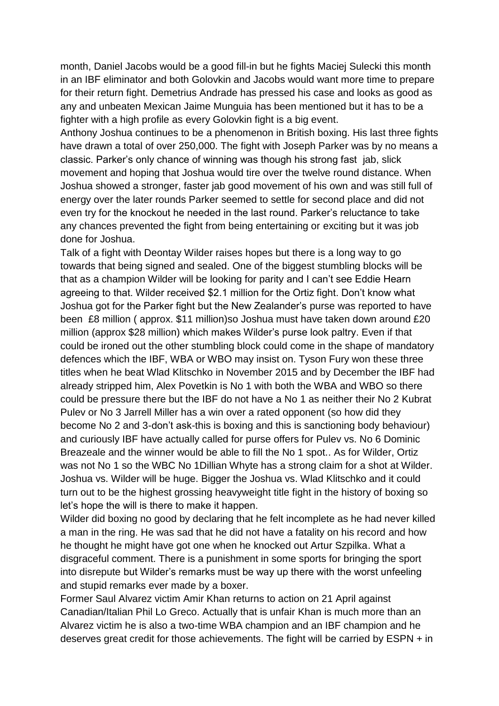month, Daniel Jacobs would be a good fill-in but he fights Maciej Sulecki this month in an IBF eliminator and both Golovkin and Jacobs would want more time to prepare for their return fight. Demetrius Andrade has pressed his case and looks as good as any and unbeaten Mexican Jaime Munguia has been mentioned but it has to be a fighter with a high profile as every Golovkin fight is a big event.

Anthony Joshua continues to be a phenomenon in British boxing. His last three fights have drawn a total of over 250,000. The fight with Joseph Parker was by no means a classic. Parker's only chance of winning was though his strong fast jab, slick movement and hoping that Joshua would tire over the twelve round distance. When Joshua showed a stronger, faster jab good movement of his own and was still full of energy over the later rounds Parker seemed to settle for second place and did not even try for the knockout he needed in the last round. Parker's reluctance to take any chances prevented the fight from being entertaining or exciting but it was job done for Joshua.

Talk of a fight with Deontay Wilder raises hopes but there is a long way to go towards that being signed and sealed. One of the biggest stumbling blocks will be that as a champion Wilder will be looking for parity and I can't see Eddie Hearn agreeing to that. Wilder received \$2.1 million for the Ortiz fight. Don't know what Joshua got for the Parker fight but the New Zealander's purse was reported to have been £8 million ( approx. \$11 million)so Joshua must have taken down around £20 million (approx \$28 million) which makes Wilder's purse look paltry. Even if that could be ironed out the other stumbling block could come in the shape of mandatory defences which the IBF, WBA or WBO may insist on. Tyson Fury won these three titles when he beat Wlad Klitschko in November 2015 and by December the IBF had already stripped him, Alex Povetkin is No 1 with both the WBA and WBO so there could be pressure there but the IBF do not have a No 1 as neither their No 2 Kubrat Pulev or No 3 Jarrell Miller has a win over a rated opponent (so how did they become No 2 and 3-don't ask-this is boxing and this is sanctioning body behaviour) and curiously IBF have actually called for purse offers for Pulev vs. No 6 Dominic Breazeale and the winner would be able to fill the No 1 spot.. As for Wilder, Ortiz was not No 1 so the WBC No 1Dillian Whyte has a strong claim for a shot at Wilder. Joshua vs. Wilder will be huge. Bigger the Joshua vs. Wlad Klitschko and it could turn out to be the highest grossing heavyweight title fight in the history of boxing so let's hope the will is there to make it happen.

Wilder did boxing no good by declaring that he felt incomplete as he had never killed a man in the ring. He was sad that he did not have a fatality on his record and how he thought he might have got one when he knocked out Artur Szpilka. What a disgraceful comment. There is a punishment in some sports for bringing the sport into disrepute but Wilder's remarks must be way up there with the worst unfeeling and stupid remarks ever made by a boxer.

Former Saul Alvarez victim Amir Khan returns to action on 21 April against Canadian/Italian Phil Lo Greco. Actually that is unfair Khan is much more than an Alvarez victim he is also a two-time WBA champion and an IBF champion and he deserves great credit for those achievements. The fight will be carried by ESPN + in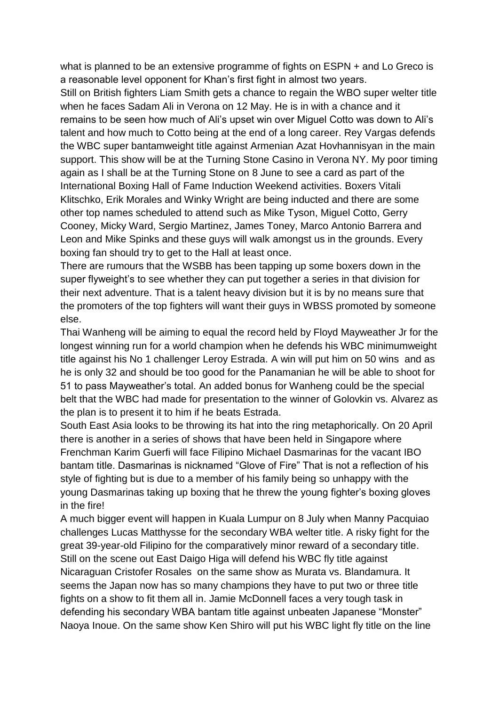what is planned to be an extensive programme of fights on ESPN + and Lo Greco is a reasonable level opponent for Khan's first fight in almost two years.

Still on British fighters Liam Smith gets a chance to regain the WBO super welter title when he faces Sadam Ali in Verona on 12 May. He is in with a chance and it remains to be seen how much of Ali's upset win over Miguel Cotto was down to Ali's talent and how much to Cotto being at the end of a long career. Rey Vargas defends the WBC super bantamweight title against Armenian Azat Hovhannisyan in the main support. This show will be at the Turning Stone Casino in Verona NY. My poor timing again as I shall be at the Turning Stone on 8 June to see a card as part of the International Boxing Hall of Fame Induction Weekend activities. Boxers Vitali Klitschko, Erik Morales and Winky Wright are being inducted and there are some other top names scheduled to attend such as Mike Tyson, Miguel Cotto, Gerry Cooney, Micky Ward, Sergio Martinez, James Toney, Marco Antonio Barrera and Leon and Mike Spinks and these guys will walk amongst us in the grounds. Every boxing fan should try to get to the Hall at least once.

There are rumours that the WSBB has been tapping up some boxers down in the super flyweight's to see whether they can put together a series in that division for their next adventure. That is a talent heavy division but it is by no means sure that the promoters of the top fighters will want their guys in WBSS promoted by someone else.

Thai Wanheng will be aiming to equal the record held by Floyd Mayweather Jr for the longest winning run for a world champion when he defends his WBC minimumweight title against his No 1 challenger Leroy Estrada. A win will put him on 50 wins and as he is only 32 and should be too good for the Panamanian he will be able to shoot for 51 to pass Mayweather's total. An added bonus for Wanheng could be the special belt that the WBC had made for presentation to the winner of Golovkin vs. Alvarez as the plan is to present it to him if he beats Estrada.

South East Asia looks to be throwing its hat into the ring metaphorically. On 20 April there is another in a series of shows that have been held in Singapore where Frenchman Karim Guerfi will face Filipino Michael Dasmarinas for the vacant IBO bantam title. Dasmarinas is nicknamed "Glove of Fire" That is not a reflection of his style of fighting but is due to a member of his family being so unhappy with the young Dasmarinas taking up boxing that he threw the young fighter's boxing gloves in the fire!

A much bigger event will happen in Kuala Lumpur on 8 July when Manny Pacquiao challenges Lucas Matthysse for the secondary WBA welter title. A risky fight for the great 39-year-old Filipino for the comparatively minor reward of a secondary title. Still on the scene out East Daigo Higa will defend his WBC fly title against Nicaraguan Cristofer Rosales on the same show as Murata vs. Blandamura. It seems the Japan now has so many champions they have to put two or three title fights on a show to fit them all in. Jamie McDonnell faces a very tough task in defending his secondary WBA bantam title against unbeaten Japanese "Monster" Naoya Inoue. On the same show Ken Shiro will put his WBC light fly title on the line